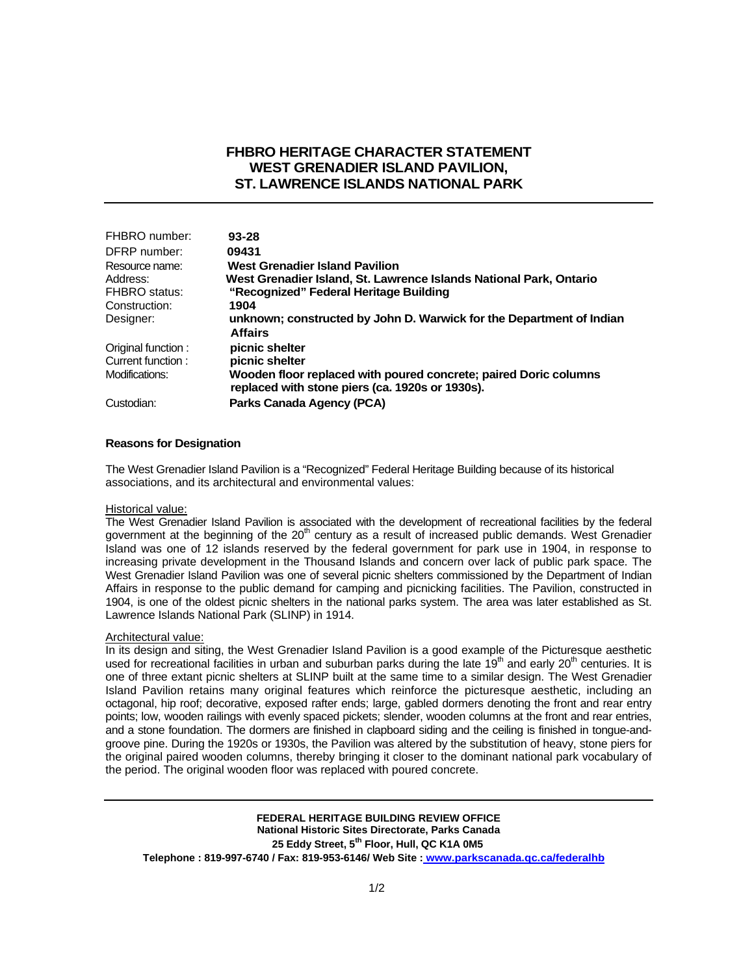## **FHBRO HERITAGE CHARACTER STATEMENT WEST GRENADIER ISLAND PAVILION, ST. LAWRENCE ISLANDS NATIONAL PARK**

| FHBRO number:             | $93 - 28$                                                                                                           |
|---------------------------|---------------------------------------------------------------------------------------------------------------------|
| DFRP number:              | 09431                                                                                                               |
| Resource name:            | <b>West Grenadier Island Pavilion</b>                                                                               |
| Address:<br>FHBRO status: | West Grenadier Island, St. Lawrence Islands National Park, Ontario<br>"Recognized" Federal Heritage Building        |
| Construction:             | 1904                                                                                                                |
| Designer:                 | unknown; constructed by John D. Warwick for the Department of Indian<br><b>Affairs</b>                              |
| Original function:        | picnic shelter                                                                                                      |
| Current function:         | picnic shelter                                                                                                      |
| Modifications:            | Wooden floor replaced with poured concrete; paired Doric columns<br>replaced with stone piers (ca. 1920s or 1930s). |
| Custodian:                | Parks Canada Agency (PCA)                                                                                           |

### **Reasons for Designation**

The West Grenadier Island Pavilion is a "Recognized" Federal Heritage Building because of its historical associations, and its architectural and environmental values:

### Historical value:

The West Grenadier Island Pavilion is associated with the development of recreational facilities by the federal government at the beginning of the 20<sup>th</sup> century as a result of increased public demands. West Grenadier Island was one of 12 islands reserved by the federal government for park use in 1904, in response to increasing private development in the Thousand Islands and concern over lack of public park space. The West Grenadier Island Pavilion was one of several picnic shelters commissioned by the Department of Indian Affairs in response to the public demand for camping and picnicking facilities. The Pavilion, constructed in 1904, is one of the oldest picnic shelters in the national parks system. The area was later established as St. Lawrence Islands National Park (SLINP) in 1914.

### Architectural value:

In its design and siting, the West Grenadier Island Pavilion is a good example of the Picturesque aesthetic used for recreational facilities in urban and suburban parks during the late 19<sup>th</sup> and early 20<sup>th</sup> centuries. It is one of three extant picnic shelters at SLINP built at the same time to a similar design. The West Grenadier Island Pavilion retains many original features which reinforce the picturesque aesthetic, including an octagonal, hip roof; decorative, exposed rafter ends; large, gabled dormers denoting the front and rear entry points; low, wooden railings with evenly spaced pickets; slender, wooden columns at the front and rear entries, and a stone foundation. The dormers are finished in clapboard siding and the ceiling is finished in tongue-andgroove pine. During the 1920s or 1930s, the Pavilion was altered by the substitution of heavy, stone piers for the original paired wooden columns, thereby bringing it closer to the dominant national park vocabulary of the period. The original wooden floor was replaced with poured concrete.

**FEDERAL HERITAGE BUILDING REVIEW OFFICE National Historic Sites Directorate, Parks Canada**  25 Eddy Street, 5<sup>th</sup> Floor, Hull, QC K1A 0M5 **Telephone : 819-997-6740 / Fax: 819-953-6146/ Web Site : www.parkscanada.qc.ca/federalhb**